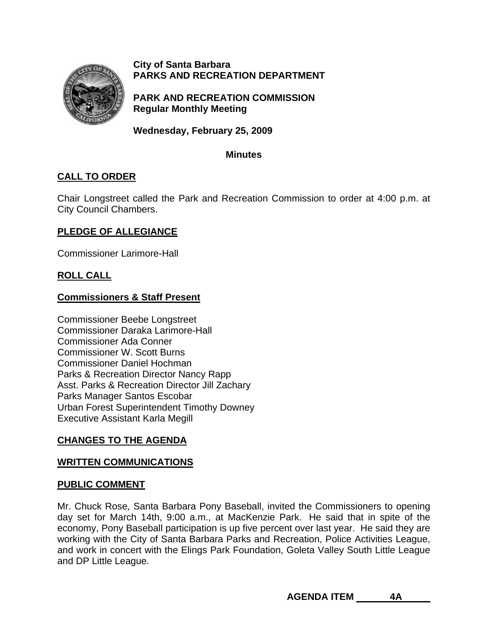

**City of Santa Barbara PARKS AND RECREATION DEPARTMENT**

**PARK AND RECREATION COMMISSION Regular Monthly Meeting** 

**Wednesday, February 25, 2009** 

## **Minutes**

# **CALL TO ORDER**

Chair Longstreet called the Park and Recreation Commission to order at 4:00 p.m. at City Council Chambers.

## **PLEDGE OF ALLEGIANCE**

Commissioner Larimore-Hall

## **ROLL CALL**

## **Commissioners & Staff Present**

Commissioner Beebe Longstreet Commissioner Daraka Larimore-Hall Commissioner Ada Conner Commissioner W. Scott Burns Commissioner Daniel Hochman Parks & Recreation Director Nancy Rapp Asst. Parks & Recreation Director Jill Zachary Parks Manager Santos Escobar Urban Forest Superintendent Timothy Downey Executive Assistant Karla Megill

## **CHANGES TO THE AGENDA**

## **WRITTEN COMMUNICATIONS**

#### **PUBLIC COMMENT**

Mr. Chuck Rose, Santa Barbara Pony Baseball, invited the Commissioners to opening day set for March 14th, 9:00 a.m., at MacKenzie Park. He said that in spite of the economy, Pony Baseball participation is up five percent over last year. He said they are working with the City of Santa Barbara Parks and Recreation, Police Activities League, and work in concert with the Elings Park Foundation, Goleta Valley South Little League and DP Little League.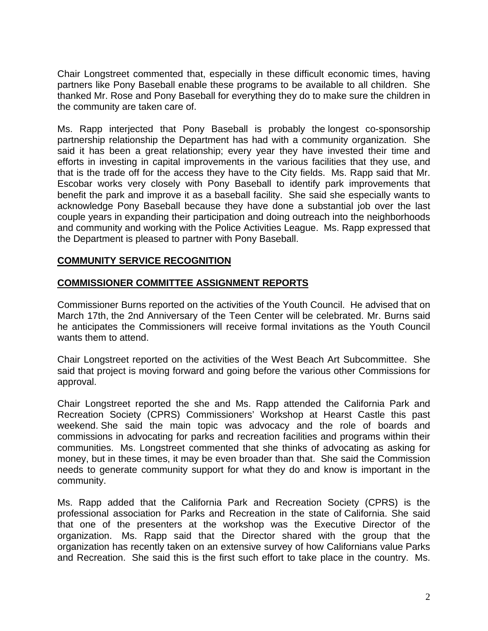Chair Longstreet commented that, especially in these difficult economic times, having partners like Pony Baseball enable these programs to be available to all children. She thanked Mr. Rose and Pony Baseball for everything they do to make sure the children in the community are taken care of.

Ms. Rapp interjected that Pony Baseball is probably the longest co-sponsorship partnership relationship the Department has had with a community organization. She said it has been a great relationship; every year they have invested their time and efforts in investing in capital improvements in the various facilities that they use, and that is the trade off for the access they have to the City fields. Ms. Rapp said that Mr. Escobar works very closely with Pony Baseball to identify park improvements that benefit the park and improve it as a baseball facility. She said she especially wants to acknowledge Pony Baseball because they have done a substantial job over the last couple years in expanding their participation and doing outreach into the neighborhoods and community and working with the Police Activities League. Ms. Rapp expressed that the Department is pleased to partner with Pony Baseball.

## **COMMUNITY SERVICE RECOGNITION**

## **COMMISSIONER COMMITTEE ASSIGNMENT REPORTS**

Commissioner Burns reported on the activities of the Youth Council. He advised that on March 17th, the 2nd Anniversary of the Teen Center will be celebrated. Mr. Burns said he anticipates the Commissioners will receive formal invitations as the Youth Council wants them to attend.

Chair Longstreet reported on the activities of the West Beach Art Subcommittee. She said that project is moving forward and going before the various other Commissions for approval.

Chair Longstreet reported the she and Ms. Rapp attended the California Park and Recreation Society (CPRS) Commissioners' Workshop at Hearst Castle this past weekend. She said the main topic was advocacy and the role of boards and commissions in advocating for parks and recreation facilities and programs within their communities. Ms. Longstreet commented that she thinks of advocating as asking for money, but in these times, it may be even broader than that. She said the Commission needs to generate community support for what they do and know is important in the community.

Ms. Rapp added that the California Park and Recreation Society (CPRS) is the professional association for Parks and Recreation in the state of California. She said that one of the presenters at the workshop was the Executive Director of the organization. Ms. Rapp said that the Director shared with the group that the organization has recently taken on an extensive survey of how Californians value Parks and Recreation. She said this is the first such effort to take place in the country. Ms.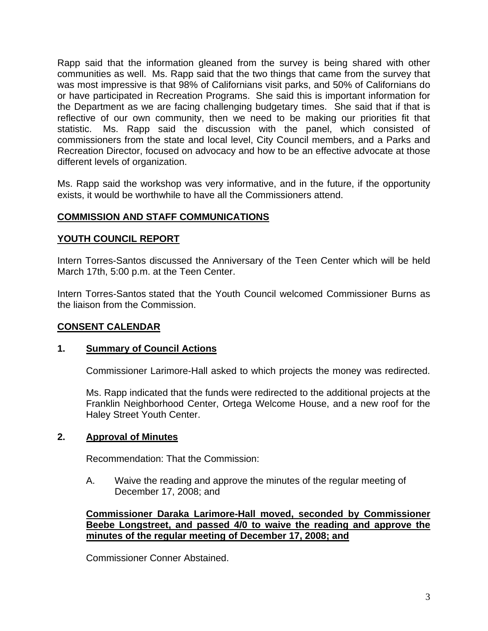Rapp said that the information gleaned from the survey is being shared with other communities as well. Ms. Rapp said that the two things that came from the survey that was most impressive is that 98% of Californians visit parks, and 50% of Californians do or have participated in Recreation Programs. She said this is important information for the Department as we are facing challenging budgetary times. She said that if that is reflective of our own community, then we need to be making our priorities fit that statistic. Ms. Rapp said the discussion with the panel, which consisted of commissioners from the state and local level, City Council members, and a Parks and Recreation Director, focused on advocacy and how to be an effective advocate at those different levels of organization.

Ms. Rapp said the workshop was very informative, and in the future, if the opportunity exists, it would be worthwhile to have all the Commissioners attend.

## **COMMISSION AND STAFF COMMUNICATIONS**

## **YOUTH COUNCIL REPORT**

Intern Torres-Santos discussed the Anniversary of the Teen Center which will be held March 17th, 5:00 p.m. at the Teen Center.

Intern Torres-Santos stated that the Youth Council welcomed Commissioner Burns as the liaison from the Commission.

## **CONSENT CALENDAR**

## **1. Summary of Council Actions**

Commissioner Larimore-Hall asked to which projects the money was redirected.

Ms. Rapp indicated that the funds were redirected to the additional projects at the Franklin Neighborhood Center, Ortega Welcome House, and a new roof for the Haley Street Youth Center.

## **2. Approval of Minutes**

Recommendation: That the Commission:

 A. Waive the reading and approve the minutes of the regular meeting of December 17, 2008; and

**Commissioner Daraka Larimore-Hall moved, seconded by Commissioner Beebe Longstreet, and passed 4/0 to waive the reading and approve the minutes of the regular meeting of December 17, 2008; and** 

Commissioner Conner Abstained.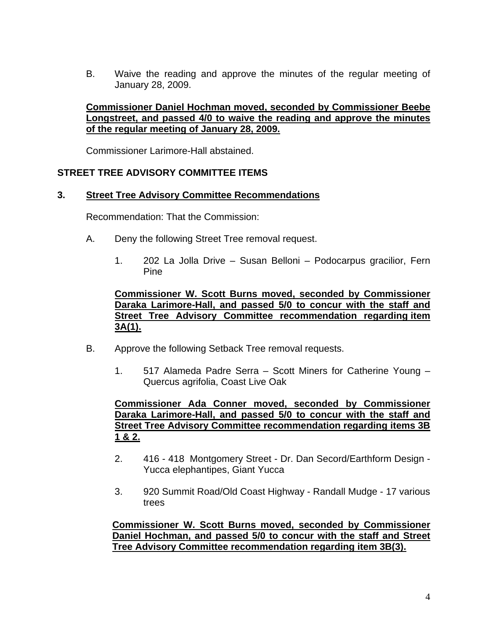B. Waive the reading and approve the minutes of the regular meeting of January 28, 2009.

## **Commissioner Daniel Hochman moved, seconded by Commissioner Beebe Longstreet, and passed 4/0 to waive the reading and approve the minutes of the regular meeting of January 28, 2009.**

Commissioner Larimore-Hall abstained.

## **STREET TREE ADVISORY COMMITTEE ITEMS**

#### **3. Street Tree Advisory Committee Recommendations**

Recommendation: That the Commission:

- A.Deny the following Street Tree removal request.
	- 1. 202 La Jolla Drive Susan Belloni Podocarpus gracilior, Fern Pine

**Commissioner W. Scott Burns moved, seconded by Commissioner Daraka Larimore-Hall, and passed 5/0 to concur with the staff and Street Tree Advisory Committee recommendation regarding item 3A(1).**

- B.Approve the following Setback Tree removal requests.
	- 1. 517 Alameda Padre Serra Scott Miners for Catherine Young Quercus agrifolia, Coast Live Oak

**Commissioner Ada Conner moved, seconded by Commissioner Daraka Larimore-Hall, and passed 5/0 to concur with the staff and Street Tree Advisory Committee recommendation regarding items 3B 1 & 2.** 

- 2.416 418 Montgomery Street Dr. Dan Secord/Earthform Design Yucca elephantipes, Giant Yucca
- 3. 920 Summit Road/Old Coast Highway Randall Mudge 17 various trees

**Commissioner W. Scott Burns moved, seconded by Commissioner Daniel Hochman, and passed 5/0 to concur with the staff and Street Tree Advisory Committee recommendation regarding item 3B(3).**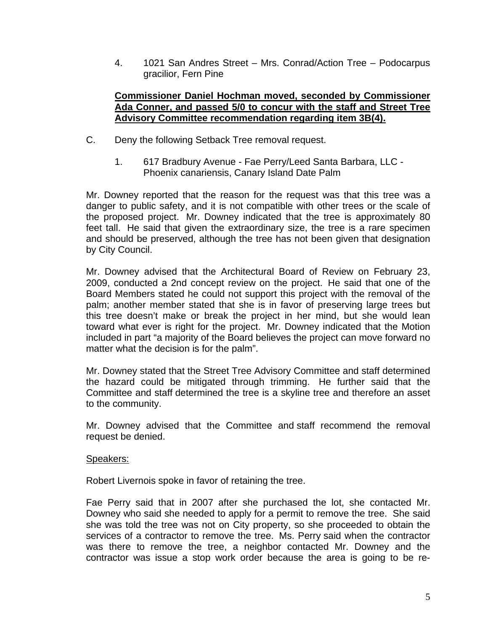4. 1021 San Andres Street – Mrs. Conrad/Action Tree – Podocarpus gracilior, Fern Pine

## **Commissioner Daniel Hochman moved, seconded by Commissioner Ada Conner, and passed 5/0 to concur with the staff and Street Tree Advisory Committee recommendation regarding item 3B(4).**

- C. Deny the following Setback Tree removal request.
	- 1. 617 Bradbury Avenue Fae Perry/Leed Santa Barbara, LLC Phoenix canariensis, Canary Island Date Palm

Mr. Downey reported that the reason for the request was that this tree was a danger to public safety, and it is not compatible with other trees or the scale of the proposed project. Mr. Downey indicated that the tree is approximately 80 feet tall. He said that given the extraordinary size, the tree is a rare specimen and should be preserved, although the tree has not been given that designation by City Council.

Mr. Downey advised that the Architectural Board of Review on February 23, 2009, conducted a 2nd concept review on the project. He said that one of the Board Members stated he could not support this project with the removal of the palm; another member stated that she is in favor of preserving large trees but this tree doesn't make or break the project in her mind, but she would lean toward what ever is right for the project. Mr. Downey indicated that the Motion included in part "a majority of the Board believes the project can move forward no matter what the decision is for the palm".

Mr. Downey stated that the Street Tree Advisory Committee and staff determined the hazard could be mitigated through trimming. He further said that the Committee and staff determined the tree is a skyline tree and therefore an asset to the community.

Mr. Downey advised that the Committee and staff recommend the removal request be denied.

## Speakers:

Robert Livernois spoke in favor of retaining the tree.

Fae Perry said that in 2007 after she purchased the lot, she contacted Mr. Downey who said she needed to apply for a permit to remove the tree. She said she was told the tree was not on City property, so she proceeded to obtain the services of a contractor to remove the tree. Ms. Perry said when the contractor was there to remove the tree, a neighbor contacted Mr. Downey and the contractor was issue a stop work order because the area is going to be re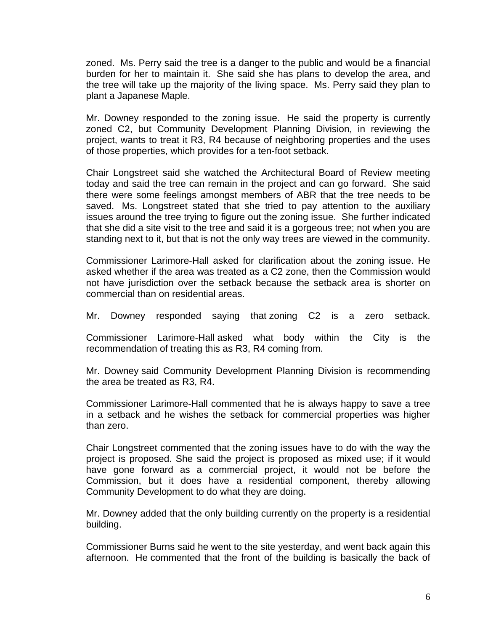zoned. Ms. Perry said the tree is a danger to the public and would be a financial burden for her to maintain it. She said she has plans to develop the area, and the tree will take up the majority of the living space. Ms. Perry said they plan to plant a Japanese Maple.

Mr. Downey responded to the zoning issue. He said the property is currently zoned C2, but Community Development Planning Division, in reviewing the project, wants to treat it R3, R4 because of neighboring properties and the uses of those properties, which provides for a ten-foot setback.

Chair Longstreet said she watched the Architectural Board of Review meeting today and said the tree can remain in the project and can go forward. She said there were some feelings amongst members of ABR that the tree needs to be saved. Ms. Longstreet stated that she tried to pay attention to the auxiliary issues around the tree trying to figure out the zoning issue. She further indicated that she did a site visit to the tree and said it is a gorgeous tree; not when you are standing next to it, but that is not the only way trees are viewed in the community.

Commissioner Larimore-Hall asked for clarification about the zoning issue. He asked whether if the area was treated as a C2 zone, then the Commission would not have jurisdiction over the setback because the setback area is shorter on commercial than on residential areas.

Mr. Downey responded saying that zoning C2 is a zero setback.

Commissioner Larimore-Hall asked what body within the City is the recommendation of treating this as R3, R4 coming from.

Mr. Downey said Community Development Planning Division is recommending the area be treated as R3, R4.

Commissioner Larimore-Hall commented that he is always happy to save a tree in a setback and he wishes the setback for commercial properties was higher than zero.

Chair Longstreet commented that the zoning issues have to do with the way the project is proposed. She said the project is proposed as mixed use; if it would have gone forward as a commercial project, it would not be before the Commission, but it does have a residential component, thereby allowing Community Development to do what they are doing.

Mr. Downey added that the only building currently on the property is a residential building.

Commissioner Burns said he went to the site yesterday, and went back again this afternoon. He commented that the front of the building is basically the back of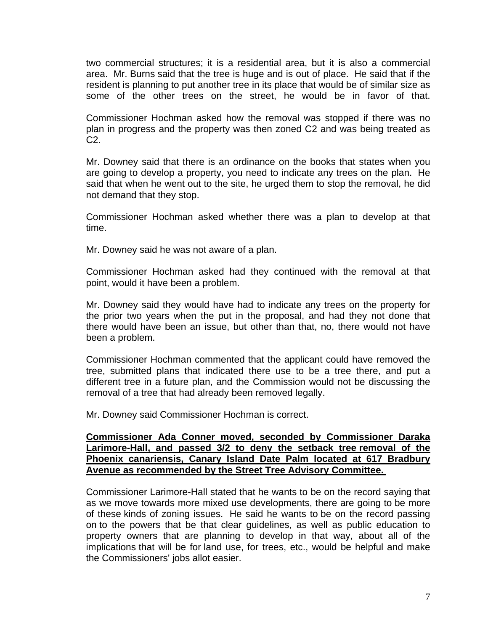two commercial structures; it is a residential area, but it is also a commercial area. Mr. Burns said that the tree is huge and is out of place. He said that if the resident is planning to put another tree in its place that would be of similar size as some of the other trees on the street, he would be in favor of that.

Commissioner Hochman asked how the removal was stopped if there was no plan in progress and the property was then zoned C2 and was being treated as C2.

Mr. Downey said that there is an ordinance on the books that states when you are going to develop a property, you need to indicate any trees on the plan. He said that when he went out to the site, he urged them to stop the removal, he did not demand that they stop.

Commissioner Hochman asked whether there was a plan to develop at that time.

Mr. Downey said he was not aware of a plan.

Commissioner Hochman asked had they continued with the removal at that point, would it have been a problem.

Mr. Downey said they would have had to indicate any trees on the property for the prior two years when the put in the proposal, and had they not done that there would have been an issue, but other than that, no, there would not have been a problem.

Commissioner Hochman commented that the applicant could have removed the tree, submitted plans that indicated there use to be a tree there, and put a different tree in a future plan, and the Commission would not be discussing the removal of a tree that had already been removed legally.

Mr. Downey said Commissioner Hochman is correct.

### **Commissioner Ada Conner moved, seconded by Commissioner Daraka Larimore-Hall, and passed 3/2 to deny the setback tree removal of the Phoenix canariensis, Canary Island Date Palm located at 617 Bradbury Avenue as recommended by the Street Tree Advisory Committee.**

Commissioner Larimore-Hall stated that he wants to be on the record saying that as we move towards more mixed use developments, there are going to be more of these kinds of zoning issues. He said he wants to be on the record passing on to the powers that be that clear guidelines, as well as public education to property owners that are planning to develop in that way, about all of the implications that will be for land use, for trees, etc., would be helpful and make the Commissioners' jobs allot easier.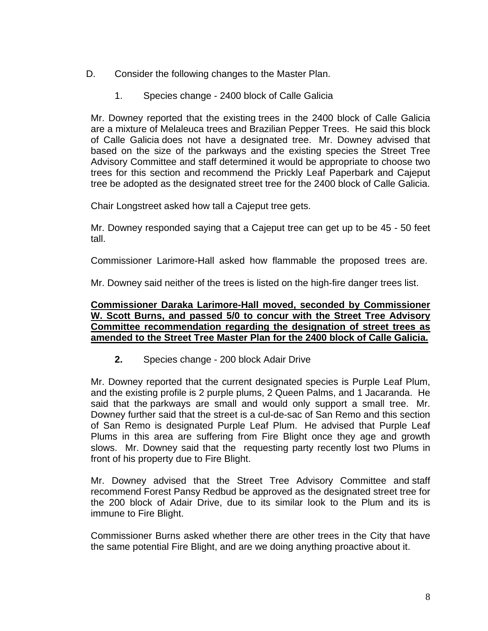- D. Consider the following changes to the Master Plan.
	- 1. Species change 2400 block of Calle Galicia

Mr. Downey reported that the existing trees in the 2400 block of Calle Galicia are a mixture of Melaleuca trees and Brazilian Pepper Trees. He said this block of Calle Galicia does not have a designated tree. Mr. Downey advised that based on the size of the parkways and the existing species the Street Tree Advisory Committee and staff determined it would be appropriate to choose two trees for this section and recommend the Prickly Leaf Paperbark and Cajeput tree be adopted as the designated street tree for the 2400 block of Calle Galicia.

Chair Longstreet asked how tall a Cajeput tree gets.

Mr. Downey responded saying that a Cajeput tree can get up to be 45 - 50 feet tall.

Commissioner Larimore-Hall asked how flammable the proposed trees are.

Mr. Downey said neither of the trees is listed on the high-fire danger trees list.

#### **Commissioner Daraka Larimore-Hall moved, seconded by Commissioner W. Scott Burns, and passed 5/0 to concur with the Street Tree Advisory Committee recommendation regarding the designation of street trees as amended to the Street Tree Master Plan for the 2400 block of Calle Galicia.**

**2.** Species change - 200 block Adair Drive

Mr. Downey reported that the current designated species is Purple Leaf Plum, and the existing profile is 2 purple plums, 2 Queen Palms, and 1 Jacaranda. He said that the parkways are small and would only support a small tree. Mr. Downey further said that the street is a cul-de-sac of San Remo and this section of San Remo is designated Purple Leaf Plum. He advised that Purple Leaf Plums in this area are suffering from Fire Blight once they age and growth slows. Mr. Downey said that the requesting party recently lost two Plums in front of his property due to Fire Blight.

Mr. Downey advised that the Street Tree Advisory Committee and staff recommend Forest Pansy Redbud be approved as the designated street tree for the 200 block of Adair Drive, due to its similar look to the Plum and its is immune to Fire Blight.

Commissioner Burns asked whether there are other trees in the City that have the same potential Fire Blight, and are we doing anything proactive about it.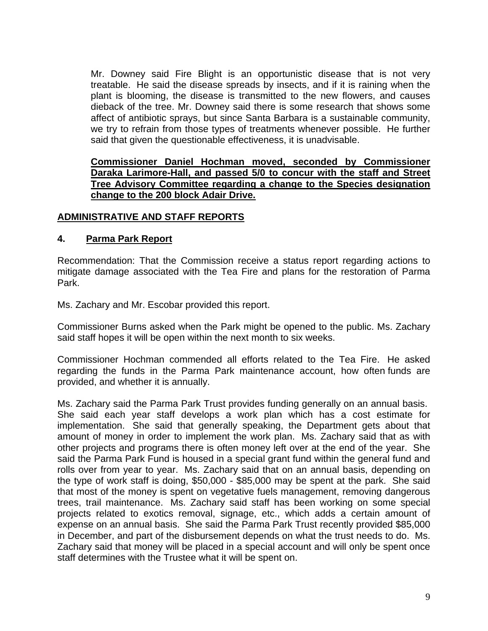Mr. Downey said Fire Blight is an opportunistic disease that is not very treatable. He said the disease spreads by insects, and if it is raining when the plant is blooming, the disease is transmitted to the new flowers, and causes dieback of the tree. Mr. Downey said there is some research that shows some affect of antibiotic sprays, but since Santa Barbara is a sustainable community, we try to refrain from those types of treatments whenever possible. He further said that given the questionable effectiveness, it is unadvisable.

## **Commissioner Daniel Hochman moved, seconded by Commissioner Daraka Larimore-Hall, and passed 5/0 to concur with the staff and Street Tree Advisory Committee regarding a change to the Species designation change to the 200 block Adair Drive.**

## **ADMINISTRATIVE AND STAFF REPORTS**

## **4. Parma Park Report**

Recommendation: That the Commission receive a status report regarding actions to mitigate damage associated with the Tea Fire and plans for the restoration of Parma Park.

Ms. Zachary and Mr. Escobar provided this report.

Commissioner Burns asked when the Park might be opened to the public. Ms. Zachary said staff hopes it will be open within the next month to six weeks.

Commissioner Hochman commended all efforts related to the Tea Fire. He asked regarding the funds in the Parma Park maintenance account, how often funds are provided, and whether it is annually.

Ms. Zachary said the Parma Park Trust provides funding generally on an annual basis. She said each year staff develops a work plan which has a cost estimate for implementation. She said that generally speaking, the Department gets about that amount of money in order to implement the work plan. Ms. Zachary said that as with other projects and programs there is often money left over at the end of the year. She said the Parma Park Fund is housed in a special grant fund within the general fund and rolls over from year to year. Ms. Zachary said that on an annual basis, depending on the type of work staff is doing, \$50,000 - \$85,000 may be spent at the park. She said that most of the money is spent on vegetative fuels management, removing dangerous trees, trail maintenance. Ms. Zachary said staff has been working on some special projects related to exotics removal, signage, etc., which adds a certain amount of expense on an annual basis. She said the Parma Park Trust recently provided \$85,000 in December, and part of the disbursement depends on what the trust needs to do. Ms. Zachary said that money will be placed in a special account and will only be spent once staff determines with the Trustee what it will be spent on.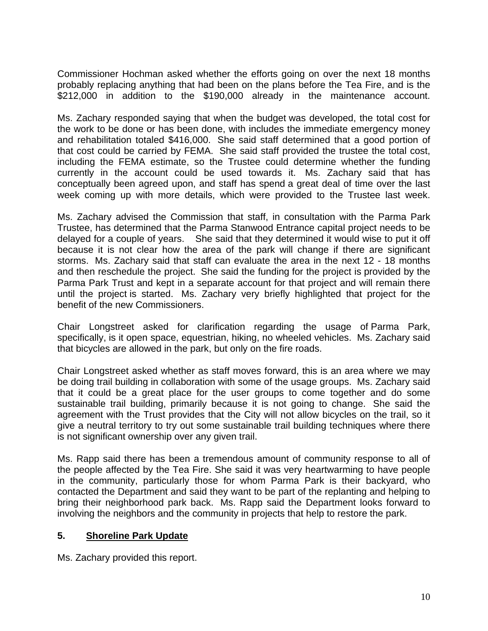Commissioner Hochman asked whether the efforts going on over the next 18 months probably replacing anything that had been on the plans before the Tea Fire, and is the \$212,000 in addition to the \$190,000 already in the maintenance account.

Ms. Zachary responded saying that when the budget was developed, the total cost for the work to be done or has been done, with includes the immediate emergency money and rehabilitation totaled \$416,000. She said staff determined that a good portion of that cost could be carried by FEMA. She said staff provided the trustee the total cost, including the FEMA estimate, so the Trustee could determine whether the funding currently in the account could be used towards it. Ms. Zachary said that has conceptually been agreed upon, and staff has spend a great deal of time over the last week coming up with more details, which were provided to the Trustee last week.

Ms. Zachary advised the Commission that staff, in consultation with the Parma Park Trustee, has determined that the Parma Stanwood Entrance capital project needs to be delayed for a couple of years. She said that they determined it would wise to put it off because it is not clear how the area of the park will change if there are significant storms. Ms. Zachary said that staff can evaluate the area in the next 12 - 18 months and then reschedule the project. She said the funding for the project is provided by the Parma Park Trust and kept in a separate account for that project and will remain there until the project is started. Ms. Zachary very briefly highlighted that project for the benefit of the new Commissioners.

Chair Longstreet asked for clarification regarding the usage of Parma Park, specifically, is it open space, equestrian, hiking, no wheeled vehicles. Ms. Zachary said that bicycles are allowed in the park, but only on the fire roads.

Chair Longstreet asked whether as staff moves forward, this is an area where we may be doing trail building in collaboration with some of the usage groups. Ms. Zachary said that it could be a great place for the user groups to come together and do some sustainable trail building, primarily because it is not going to change. She said the agreement with the Trust provides that the City will not allow bicycles on the trail, so it give a neutral territory to try out some sustainable trail building techniques where there is not significant ownership over any given trail.

Ms. Rapp said there has been a tremendous amount of community response to all of the people affected by the Tea Fire. She said it was very heartwarming to have people in the community, particularly those for whom Parma Park is their backyard, who contacted the Department and said they want to be part of the replanting and helping to bring their neighborhood park back. Ms. Rapp said the Department looks forward to involving the neighbors and the community in projects that help to restore the park.

## **5. Shoreline Park Update**

Ms. Zachary provided this report.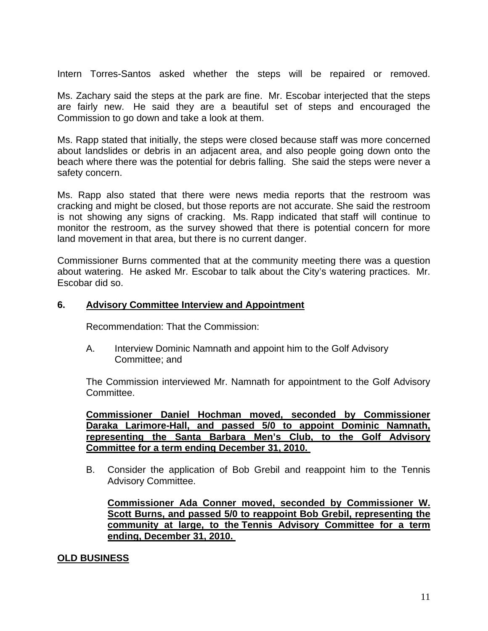Intern Torres-Santos asked whether the steps will be repaired or removed.

Ms. Zachary said the steps at the park are fine. Mr. Escobar interjected that the steps are fairly new. He said they are a beautiful set of steps and encouraged the Commission to go down and take a look at them.

Ms. Rapp stated that initially, the steps were closed because staff was more concerned about landslides or debris in an adjacent area, and also people going down onto the beach where there was the potential for debris falling. She said the steps were never a safety concern.

Ms. Rapp also stated that there were news media reports that the restroom was cracking and might be closed, but those reports are not accurate. She said the restroom is not showing any signs of cracking. Ms. Rapp indicated that staff will continue to monitor the restroom, as the survey showed that there is potential concern for more land movement in that area, but there is no current danger.

Commissioner Burns commented that at the community meeting there was a question about watering. He asked Mr. Escobar to talk about the City's watering practices. Mr. Escobar did so.

#### **6. Advisory Committee Interview and Appointment**

Recommendation: That the Commission:

 A. Interview Dominic Namnath and appoint him to the Golf Advisory Committee; and

The Commission interviewed Mr. Namnath for appointment to the Golf Advisory Committee.

**Commissioner Daniel Hochman moved, seconded by Commissioner Daraka Larimore-Hall, and passed 5/0 to appoint Dominic Namnath, representing the Santa Barbara Men's Club, to the Golf Advisory Committee for a term ending December 31, 2010.** 

B. Consider the application of Bob Grebil and reappoint him to the Tennis Advisory Committee.

 **Commissioner Ada Conner moved, seconded by Commissioner W. Scott Burns, and passed 5/0 to reappoint Bob Grebil, representing the community at large, to the Tennis Advisory Committee for a term ending, December 31, 2010.** 

## **OLD BUSINESS**